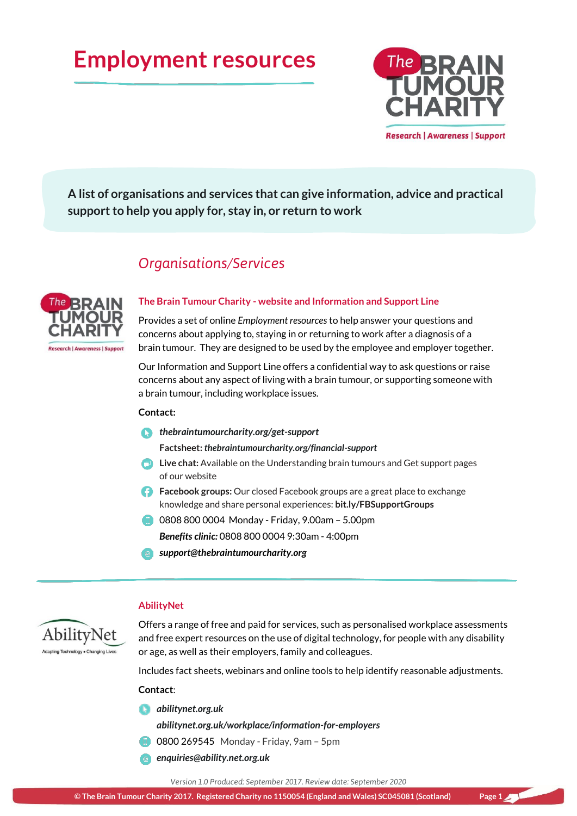# **Employment resources**



**A list of organisations and services that can give information, advice and practical support to help you apply for, stay in, or return to work**

# *Organisations/Services*



#### **The Brain Tumour Charity - website and Information and Support Line**

Provides a set of online *Employment resources* to help answer your questions and concerns about applying to, staying in or returning to work after a diagnosis of a brain tumour. They are designed to be used by the employee and employer together.

Our Information and Support Line offers a confidential way to ask questions or raise concerns about any aspect of living with a brain tumour, or supporting someone with a brain tumour, including workplace issues.

#### **Contact:**

*[thebraintumourcharity.org/get-support](https://www.thebraintumourcharity.org/get-support/)*

**Factsheet:** *[thebraintumourcharity.org/financial-support](https://www.thebraintumourcharity.org/financial-support)*

- **Live chat:** Available on the Understanding brain tumours and Get support pages of our website
- **Facebook groups:** Our closed Facebook groups are a great place to exchange knowledge and share personal experiences: **[bit.ly/FBSupportGroups](http://bit.ly/FBSupportGroups)**
- 0808 800 0004 Monday Friday, 9.00am 5.00pm *Benefits clinic:* 0808 800 0004 9:30am - 4:00pm
- *[support@thebraintumourcharity.org](mailto:support@thebraintumourcharity.org)*

#### **AbilityNet**



Offers a range of free and paid for services, such as personalised workplace assessments and free expert resources on the use of digital technology, for people with any disability or age, as well as their employers, family and colleagues.

Includes fact sheets, webinars and online tools to help identify reasonable adjustments.

**Contact**:

*[abilitynet.org.uk](https://www.abilitynet.org.uk/homepage)*

*[abilitynet.org.uk/workplace/information-for-employers](https://www.abilitynet.org.uk/workplace/information-for-employers)*

- 0800 269545 Monday Friday, 9am 5pm
- *[enquiries@ability.net.org.uk](mailto:enquiries@ability.net.org.uk)*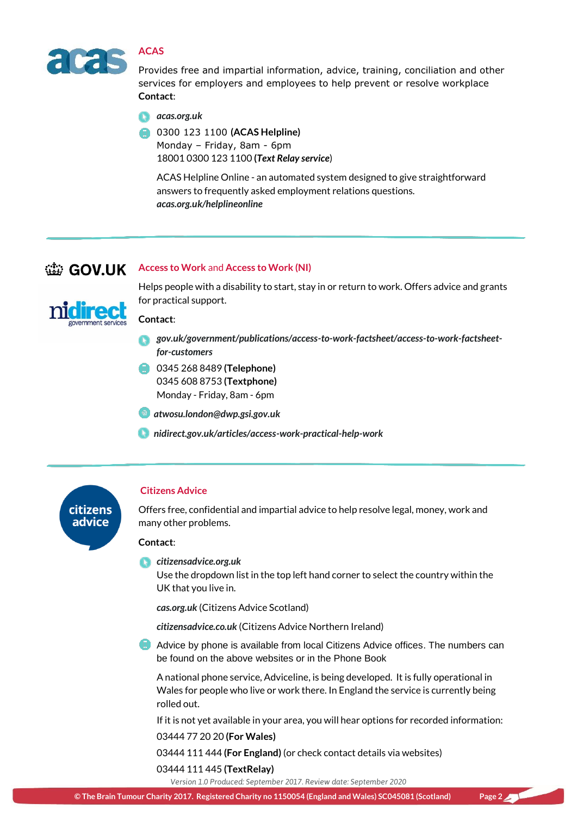

# **ACAS**

Provides free and impartial information, advice, training, conciliation and other services for employers and employees to help prevent or resolve workplace **Contact**:

*[acas.org.uk](http://www.acas.org.uk/)*

0300 123 1100 **(ACAS Helpline)** Monday – Friday, 8am - 6pm 18001 0300 123 1100 **(***[Text Relay service](http://ngts.org.uk/textrelay_index.php)*)

ACAS Helpline Online - an automated system designed to give straightforward answers to frequently asked employment relations questions. *[acas.org.uk/helplineonline](http://www.acas.org.uk/helplineonline)*

# **Access to Work and Access to Work (NI)**

for practical support.



# **Contact**:

*[gov.uk/government/publications/access-to-work-factsheet/access-to-work-factsheet](https://www.gov.uk/government/publications/access-to-work-factsheet/access-to-work-factsheet-for-customers)[for-customers](https://www.gov.uk/government/publications/access-to-work-factsheet/access-to-work-factsheet-for-customers)*

Helps people with a disability to start, stay in or return to work. Offers advice and grants

- 0345 268 8489 **(Telephone)** 0345 608 8753 **(Textphone)**  Monday - Friday, 8am - 6pm
- *[atwosu.london@dwp.gsi.gov.uk](mailto:atwosu.london@dwp.gsi.gov.uk)*
- *[nidirect.gov.uk/articles/access-work-practical-help-work](https://www.nidirect.gov.uk/articles/access-work-practical-help-work)*



#### **Citizens Advice**

Offers free, confidential and impartial advice to help resolve legal, money, work and many other problems.

#### **Contact**:

*[citizensadvice.org.uk](https://www.citizensadvice.org.uk/)*

Use the dropdown list in the top left hand corner to select the country within the UK that you live in.

*[cas.org.uk](http://www.cas.org.uk/)* (Citizens Advice Scotland)

*[citizensadvice.co.uk](https://www.citizensadvice.co.uk/)* (Citizens Advice Northern Ireland)

Advice by phone is available from local Citizens Advice offices. The numbers can be found on the above websites or in the Phone Book

A national phone service, Adviceline, is being developed. It is fully operational in Wales for people who live or work there. In England the service is currently being rolled out.

If it is not yet available in your area, you will hear options for recorded information: 03444 77 20 20 **(For Wales)**

03444 111 444 **(For England)** (or check contact details via websites) 03444 111 445 **(TextRelay)**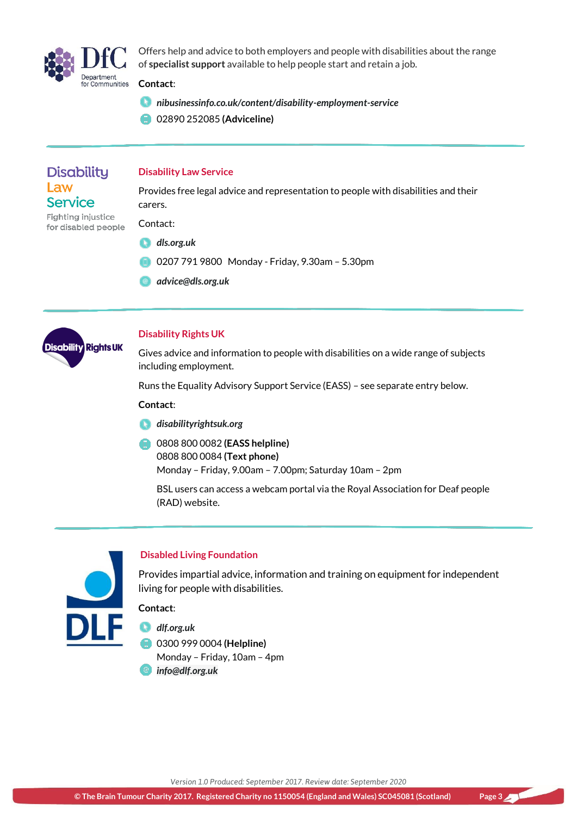

Offers help and advice to both employers and people with disabilities about the range of **specialist support** available to help people start and retain a job.

## **Contact**:

- *[nibusinessinfo.co.uk/content/disability-employment-service](https://www.nibusinessinfo.co.uk/content/disability-employment-service)*
- 02890 252085 **(Adviceline)**

# **Disability** Law **Service**

# **Disability Law Service**

Provides free legal advice and representation to people with disabilities and their carers.

Fighting injustice Contact: for disabled people

- *[dls.org.uk](http://dls.org.uk/)*
- 0207 791 9800 Monday Friday, 9.30am 5.30pm
- *[advice@dls.org.uk](mailto:advice@dls.org.uk)*



# **Disability Rights UK**

Gives advice and information to people with disabilities on a wide range of subjects including employment.

Runs the Equality Advisory Support Service (EASS) – see separate entry below.

#### **Contact**:

- *[disabilityrightsuk.org](https://www.disabilityrightsuk.org/)*
- 0808 800 0082 **(EASS helpline)** 0808 800 0084 **(Text phone)** Monday – Friday, 9.00am – 7.00pm; Saturday 10am – 2pm

BSL users can access a webcam portal via the Royal Association for Deaf people (RAD) website.



# **Disabled Living Foundation**

Provides impartial advice, information and training on equipment for independent living for people with disabilities.

# **Contact**:

*[dlf.org.uk](http://www.dlf.org.uk/)*

0300 999 0004 **(Helpline)** Monday – Friday, 10am – 4pm *[info@dlf.org.uk](mailto:info@dlf.org.uk?subject=Enquiry%20from%20DLF%20website)*

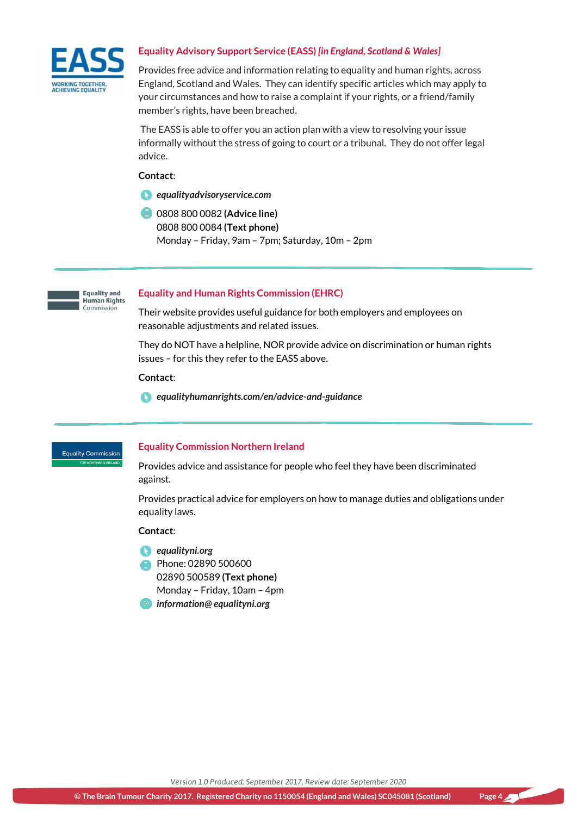

## **Equality Advisory Support Service (EASS)** *[in England, Scotland & Wales]*

Provides free advice and information relating to equality and human rights, across England, Scotland and Wales. They can identify specific articles which may apply to your circumstances and how to raise a complaint if your rights, or a friend/family member's rights, have been breached.

The EASS is able to offer you an action plan with a view to resolving your issue informally without the stress of going to court or a tribunal. They do not offer legal advice.

#### **Contact**:

- *[equalityadvisoryservice.com](http://www.equalityadvisoryservice.com/)*
- 0808 800 0082 **(Advice line)** 0808 800 0084 **(Text phone)** Monday – Friday, 9am – 7pm; Saturday, 10m – 2pm



#### **Equality and Human Rights Commission (EHRC)**

Their website provides useful guidance for both employers and employees on reasonable adjustments and related issues.

They do NOT have a helpline, NOR provide advice on discrimination or human rights issues – for this they refer to the EASS above.

#### **Contact**:

*[equalityhumanrights.com/en/advice-and-guidance](https://www.equalityhumanrights.com/en/advice-and-guidance)*

**Equality Commission** 

#### **Equality Commission Northern Ireland**

Provides advice and assistance for people who feel they have been discriminated against.

Provides practical advice for employers on how to manage duties and obligations under equality laws.

#### **Contact**:

- *[equalityni.org](http://www.equalityni.org/Home)*
- Phone: 02890 500600 02890 500589 **(Text phone)**
	- Monday Friday, 10am 4pm
- *information@ [equalityni.org](mailto:information@equalityni.org)*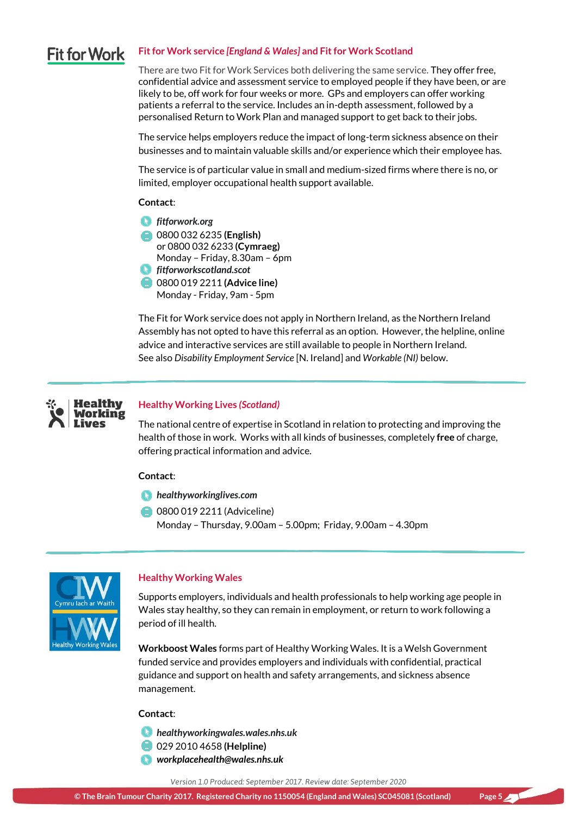#### **Fit for Work service** *[England & Wales]* **and Fit for Work Scotland Fit for Work**

There are two Fit for Work Services both delivering the same service. They offer free, confidential advice and assessment service to employed people if they have been, or are likely to be, off work for four weeks or more. GPs and employers can offer working patients a referral to the service. Includes an in-depth assessment, followed by a personalised Return to Work Plan and managed support to get back to their jobs.

The service helps employers reduce the impact of long-term sickness absence on their businesses and to maintain valuable skills and/or experience which their employee has.

The service is of particular value in small and medium-sized firms where there is no, or limited, employer occupational health support available.

#### **Contact**:

*[fitforwork.org](https://fitforwork.org/)* 0800 032 6235 **(English)**  or 0800 032 6233 **(Cymraeg)**  Monday – Friday, 8.30am – 6pm *[fitforworkscotland.scot](https://fitforworkscotland.scot/)* 0800 019 2211 **(Advice line)**

Monday - Friday, 9am - 5pm

The Fit for Work service does not apply in Northern Ireland, as the Northern Ireland Assembly has not opted to have this referral as an option. However, the helpline, online advice and interactive services are still available to people in Northern Ireland. See also *Disability Employment Service* [N. Ireland] and *Workable (NI)* below.



## **Healthy Working Lives** *(Scotland)*

The national centre of expertise in Scotland in relation to protecting and improving the health of those in work. Works with all kinds of businesses, completely **free** of charge, offering practical information and advice.

#### **Contact**:

- *[healthyworkinglives.com](http://www.healthyworkinglives.com/)*
- **0800 019 2211 (Adviceline)** Monday – Thursday, 9.00am – 5.00pm; Friday, 9.00am – 4.30pm



#### **Healthy Working Wales**

Supports employers, individuals and health professionals to help working age people in Wales stay healthy, so they can remain in employment, or return to work following a period of ill health.

**Workboost Wales** forms part of Healthy Working Wales. It is a Welsh Government funded service and provides employers and individuals with confidential, practical guidance and support on health and safety arrangements, and sickness absence management.

#### **Contact**:

- *[healthyworkingwales.wales.nhs.uk](http://www.healthyworkingwales.wales.nhs.uk/home)*
- 029 2010 4658 **(Helpline)**
- *[workplacehealth@wales.nhs.uk](mailto:workplacehealth@wales.nhs.uk)*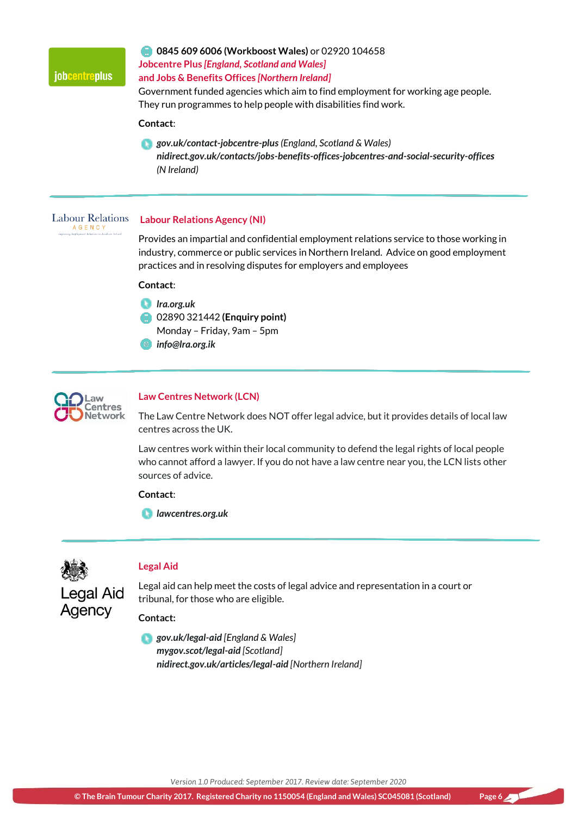

# **0845 609 6006 (Workboost Wales)** or 02920 104658 **Jobcentre Plus** *[England, Scotland and Wales]*

## **and Jobs & Benefits Offices** *[Northern Ireland]*

Government funded agencies which aim to find employment for working age people. They run programmes to help people with disabilities find work.

#### **Contact**:

*[gov.uk/contact-jobcentre-plus](https://www.gov.uk/contact-jobcentre-plus) (England, Scotland & Wales) [nidirect.gov.uk/contacts/jobs-benefits-offices-jobcentres-and-social-security-offices](https://www.nidirect.gov.uk/contacts/jobs-benefits-offices-jobcentres-and-social-security-offices) (N Ireland)*

**Labour Relations** AGENCY

#### **Labour Relations Agency (NI)**

Provides an impartial and confidential employment relations service to those working in industry, commerce or public services in Northern Ireland. Advice on good employment practices and in resolving disputes for employers and employees

#### **Contact**:

- *[lra.org.uk](https://www.lra.org.uk/)*
- 02890 321442 **(Enquiry point)** Monday – Friday, 9am – 5pm
- *[info@lra.org.ik](mailto:info@lra.org.ik)*



# **Law Centres Network (LCN)**

The Law Centre Network does NOT offer legal advice, but it provides details of local law centres across the UK.

Law centres work within their local community to defend the legal rights of local people who cannot afford a lawyer. If you do not have a law centre near you, the LCN lists other sources of advice.

## **Contact**:

*[lawcentres.org.uk](http://www.lawcentres.org.uk/)*



Agency

# **Legal Aid**

Legal aid can help meet the costs of legal advice and representation in a court or tribunal, for those who are eligible.

#### **Contact:**

*[gov.uk/legal-aid](https://www.gov.uk/legal-aid) [England & Wales] [mygov.scot/legal-aid](https://www.mygov.scot/legal-aid/) [Scotland] [nidirect.gov.uk/articles/legal-aid](https://www.nidirect.gov.uk/articles/legal-aid) [Northern Ireland]*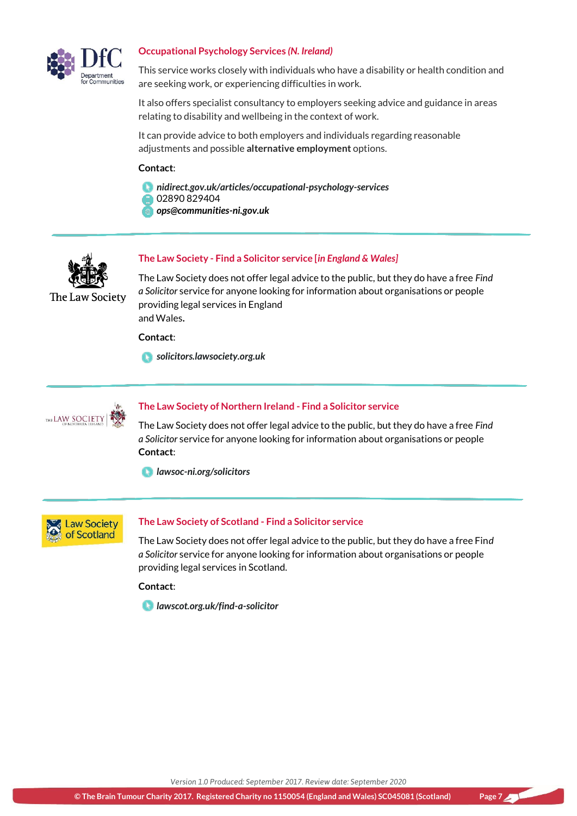

## **Occupational Psychology Services** *(N. Ireland)*

This service works closely with individuals who have a disability or health condition and are seeking work, or experiencing difficulties in work.

It also offers specialist consultancy to employers seeking advice and guidance in areas relating to disability and wellbeing in the context of work.

It can provide advice to both employers and individuals regarding reasonable adjustments and possible **alternative employment** options.

#### **Contact**:

- *[nidirect.gov.uk/articles/occupational-psychology-services](https://www.nidirect.gov.uk/articles/occupational-psychology-services)*
- 02890 829404
- *[ops@communities-ni.gov.uk](mailto:ops@communities-ni.gov.uk)*



The Law Society

# **The Law Society - Find a Solicitor service [***in England & Wales]*

The Law Society does not offer legal advice to the public, but they do have a free *Find a Solicitor* service for anyone looking for information about organisations or people providing legal services in England and Wales**.**

**Contact**:

*[solicitors.lawsociety.org.uk](http://solicitors.lawsociety.org.uk/)*



# **The Law Society of Northern Ireland - Find a Solicitor service**

The Law Society does not offer legal advice to the public, but they do have a free *Find a Solicitor* service for anyone looking for information about organisations or people **Contact**:

*[lawsoc-ni.org/solicitors](https://www.lawsoc-ni.org/solicitors)*



#### **The Law Society of Scotland - Find a Solicitor service**

The Law Society does not offer legal advice to the public, but they do have a free Fin*d a Solicitor* service for anyone looking for information about organisations or people providing legal services in Scotland.

#### **Contact**:

*[lawscot.org.uk/find-a-solicitor](https://www.lawscot.org.uk/find-a-solicitor/)*